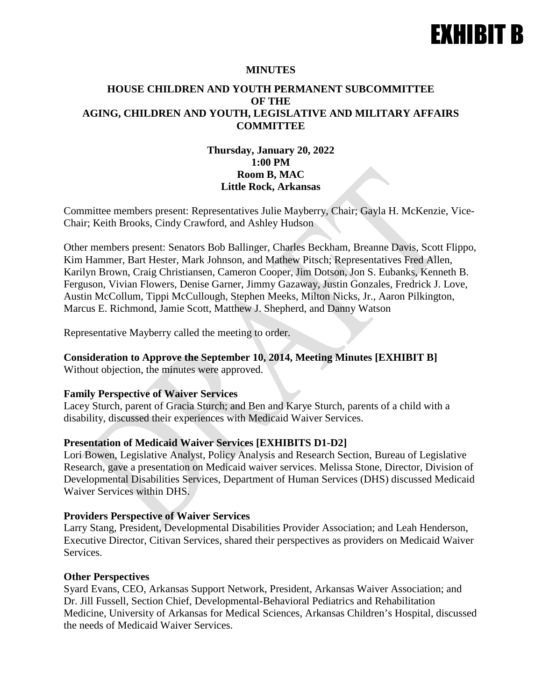# EXHIBIT B

#### **MINUTES**

# **HOUSE CHILDREN AND YOUTH PERMANENT SUBCOMMITTEE OF THE AGING, CHILDREN AND YOUTH, LEGISLATIVE AND MILITARY AFFAIRS COMMITTEE**

# **Thursday, January 20, 2022 1:00 PM Room B, MAC Little Rock, Arkansas**

Committee members present: Representatives Julie Mayberry, Chair; Gayla H. McKenzie, Vice-Chair; Keith Brooks, Cindy Crawford, and Ashley Hudson

Other members present: Senators Bob Ballinger, Charles Beckham, Breanne Davis, Scott Flippo, Kim Hammer, Bart Hester, Mark Johnson, and Mathew Pitsch; Representatives Fred Allen, Karilyn Brown, Craig Christiansen, Cameron Cooper, Jim Dotson, Jon S. Eubanks, Kenneth B. Ferguson, Vivian Flowers, Denise Garner, Jimmy Gazaway, Justin Gonzales, Fredrick J. Love, Austin McCollum, Tippi McCullough, Stephen Meeks, Milton Nicks, Jr., Aaron Pilkington, Marcus E. Richmond, Jamie Scott, Matthew J. Shepherd, and Danny Watson

Representative Mayberry called the meeting to order.

## **Consideration to Approve the September 10, 2014, Meeting Minutes [EXHIBIT B]**

Without objection, the minutes were approved.

#### **Family Perspective of Waiver Services**

Lacey Sturch, parent of Gracia Sturch; and Ben and Karye Sturch, parents of a child with a disability, discussed their experiences with Medicaid Waiver Services.

## **Presentation of Medicaid Waiver Services [EXHIBITS D1-D2]**

Lori Bowen, Legislative Analyst, Policy Analysis and Research Section, Bureau of Legislative Research, gave a presentation on Medicaid waiver services. Melissa Stone, Director, Division of Developmental Disabilities Services, Department of Human Services (DHS) discussed Medicaid Waiver Services within DHS.

#### **Providers Perspective of Waiver Services**

Larry Stang, President, Developmental Disabilities Provider Association; and Leah Henderson, Executive Director, Citivan Services, shared their perspectives as providers on Medicaid Waiver Services.

#### **Other Perspectives**

Syard Evans, CEO, Arkansas Support Network, President, Arkansas Waiver Association; and Dr. Jill Fussell, Section Chief, Developmental-Behavioral Pediatrics and Rehabilitation Medicine, University of Arkansas for Medical Sciences, Arkansas Children's Hospital, discussed the needs of Medicaid Waiver Services.